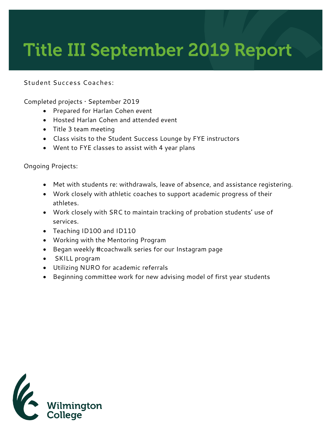## **Title III September 2019 Report**

## **Student Success Coaches:**

Completed projects • September 2019

- Prepared for Harlan Cohen event
- Hosted Harlan Cohen and attended event
- Title 3 team meeting
- Class visits to the Student Success Lounge by FYE instructors
- Went to FYE classes to assist with 4 year plans

Ongoing Projects:

- Met with students re: withdrawals, leave of absence, and assistance registering.
- Work closely with athletic coaches to support academic progress of their athletes.
- Work closely with SRC to maintain tracking of probation students' use of services.
- Teaching ID100 and ID110
- Working with the Mentoring Program
- Began weekly #coachwalk series for our Instagram page
- SKILL program
- Utilizing NURO for academic referrals
- Beginning committee work for new advising model of first year students

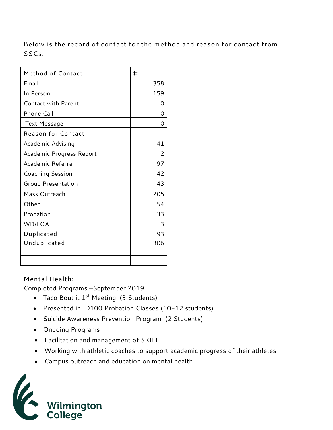**Below is the record of contact for the method and reason for contact from SSCs.** 

| Method of Contact          | #   |
|----------------------------|-----|
| Email                      | 358 |
| In Person                  | 159 |
| <b>Contact with Parent</b> | Ω   |
| Phone Call                 | Ω   |
| <b>Text Message</b>        | Ω   |
| <b>Reason for Contact</b>  |     |
| Academic Advising          | 41  |
| Academic Progress Report   | 2   |
| Academic Referral          | 97  |
| <b>Coaching Session</b>    | 42  |
| Group Presentation         | 43  |
| Mass Outreach              | 205 |
| Other                      | 54  |
| Probation                  | 33  |
| WD/LOA                     | 3   |
| Duplicated                 | 93  |
| Unduplicated               | 306 |
|                            |     |

## **Mental Health:**

Completed Programs –September 2019

- Taco Bout it 1<sup>st</sup> Meeting (3 Students)
- Presented in ID100 Probation Classes (10-12 students)
- Suicide Awareness Prevention Program (2 Students)
- Ongoing Programs
- Facilitation and management of SKILL
- Working with athletic coaches to support academic progress of their athletes
- Campus outreach and education on mental health